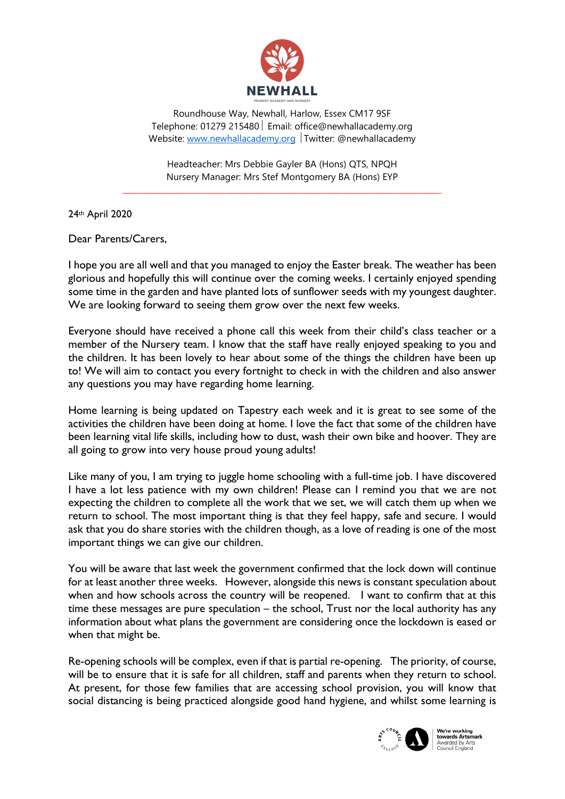

Roundhouse Way, Newhall, Harlow, Essex CM17 9SF Telephone: 01279 215480 | Email: office@newhallacademy.org Website: www.newhallacademy.org Twitter: @newhallacademy

Headteacher: Mrs Debbie Gayler BA (Hons) QTS, NPQH Nursery Manager: Mrs Stef Montgomery BA (Hons) EYP

\_\_\_\_\_\_\_\_\_\_\_\_\_\_\_\_\_\_\_\_\_\_\_\_\_\_\_\_\_\_\_\_\_\_\_\_\_\_\_\_\_\_\_\_\_\_\_\_\_\_\_\_\_\_\_\_\_\_\_\_\_\_\_\_\_\_\_\_\_\_\_\_\_\_\_\_\_\_\_\_\_

24th April 2020

Dear Parents/Carers,

I hope you are all well and that you managed to enjoy the Easter break. The weather has been glorious and hopefully this will continue over the coming weeks. I certainly enjoyed spending some time in the garden and have planted lots of sunflower seeds with my youngest daughter. We are looking forward to seeing them grow over the next few weeks.

Everyone should have received a phone call this week from their child's class teacher or a member of the Nursery team. I know that the staff have really enjoyed speaking to you and the children. It has been lovely to hear about some of the things the children have been up to! We will aim to contact you every fortnight to check in with the children and also answer any questions you may have regarding home learning.

Home learning is being updated on Tapestry each week and it is great to see some of the activities the children have been doing at home. I love the fact that some of the children have been learning vital life skills, including how to dust, wash their own bike and hoover. They are all going to grow into very house proud young adults!

Like many of you, I am trying to juggle home schooling with a full-time job. I have discovered I have a lot less patience with my own children! Please can I remind you that we are not expecting the children to complete all the work that we set, we will catch them up when we return to school. The most important thing is that they feel happy, safe and secure. I would ask that you do share stories with the children though, as a love of reading is one of the most important things we can give our children.

You will be aware that last week the government confirmed that the lock down will continue for at least another three weeks. However, alongside this news is constant speculation about when and how schools across the country will be reopened. I want to confirm that at this time these messages are pure speculation – the school, Trust nor the local authority has any information about what plans the government are considering once the lockdown is eased or when that might be.

Re-opening schools will be complex, even if that is partial re-opening. The priority, of course, will be to ensure that it is safe for all children, staff and parents when they return to school. At present, for those few families that are accessing school provision, you will know that social distancing is being practiced alongside good hand hygiene, and whilst some learning is



**the Fe Working<br>
towards Artsmark**<br>
Awarded by Arts<br>
Council England